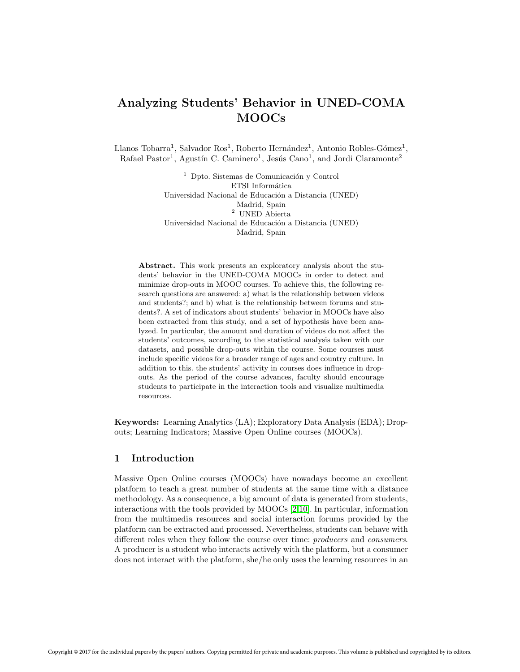# Analyzing Students' Behavior in UNED-COMA MOOCs

Llanos Tobarra<sup>1</sup>, Salvador Ros<sup>1</sup>, Roberto Hernández<sup>1</sup>, Antonio Robles-Gómez<sup>1</sup>, Rafael Pastor<sup>1</sup>, Agustín C. Caminero<sup>1</sup>, Jesús Cano<sup>1</sup>, and Jordi Claramonte<sup>2</sup>

> $<sup>1</sup>$  Dpto. Sistemas de Comunicación y Control</sup> ETSI Informática Universidad Nacional de Educación a Distancia (UNED) Madrid, Spain  $^{\rm 2}$  UNED Abierta Universidad Nacional de Educación a Distancia (UNED) Madrid, Spain

Abstract. This work presents an exploratory analysis about the students' behavior in the UNED-COMA MOOCs in order to detect and minimize drop-outs in MOOC courses. To achieve this, the following research questions are answered: a) what is the relationship between videos and students?; and b) what is the relationship between forums and students?. A set of indicators about students' behavior in MOOCs have also been extracted from this study, and a set of hypothesis have been analyzed. In particular, the amount and duration of videos do not affect the students' outcomes, according to the statistical analysis taken with our datasets, and possible drop-outs within the course. Some courses must include specific videos for a broader range of ages and country culture. In addition to this. the students' activity in courses does influence in dropouts. As the period of the course advances, faculty should encourage students to participate in the interaction tools and visualize multimedia resources.

Keywords: Learning Analytics (LA); Exploratory Data Analysis (EDA); Dropouts; Learning Indicators; Massive Open Online courses (MOOCs).

## 1 Introduction

Massive Open Online courses (MOOCs) have nowadays become an excellent platform to teach a great number of students at the same time with a distance methodology. As a consequence, a big amount of data is generated from students, interactions with the tools provided by MOOCs [\[2,](#page-12-0)[10\]](#page-12-1). In particular, information from the multimedia resources and social interaction forums provided by the platform can be extracted and processed. Nevertheless, students can behave with different roles when they follow the course over time: producers and consumers. A producer is a student who interacts actively with the platform, but a consumer does not interact with the platform, she/he only uses the learning resources in an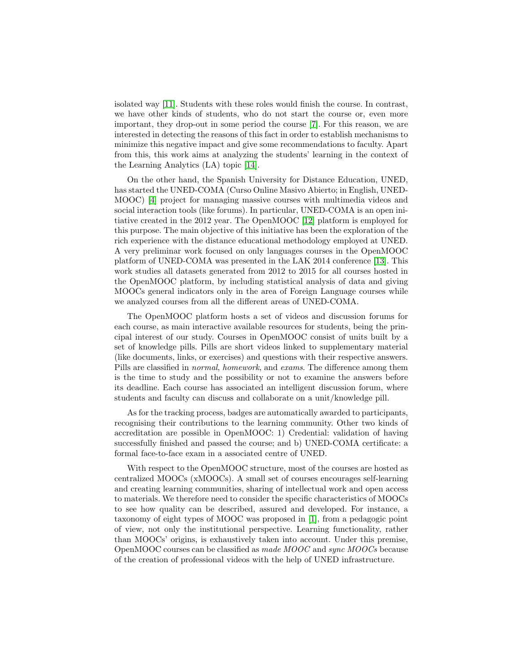isolated way [\[11\]](#page-12-2). Students with these roles would finish the course. In contrast, we have other kinds of students, who do not start the course or, even more important, they drop-out in some period the course [\[7\]](#page-12-3). For this reason, we are interested in detecting the reasons of this fact in order to establish mechanisms to minimize this negative impact and give some recommendations to faculty. Apart from this, this work aims at analyzing the students' learning in the context of the Learning Analytics (LA) topic [\[14\]](#page-13-0).

On the other hand, the Spanish University for Distance Education, UNED, has started the UNED-COMA (Curso Online Masivo Abierto; in English, UNED-MOOC) [\[4\]](#page-12-4) project for managing massive courses with multimedia videos and social interaction tools (like forums). In particular, UNED-COMA is an open initiative created in the 2012 year. The OpenMOOC [\[12\]](#page-12-5) platform is employed for this purpose. The main objective of this initiative has been the exploration of the rich experience with the distance educational methodology employed at UNED. A very preliminar work focused on only languages courses in the OpenMOOC platform of UNED-COMA was presented in the LAK 2014 conference [\[13\]](#page-12-6). This work studies all datasets generated from 2012 to 2015 for all courses hosted in the OpenMOOC platform, by including statistical analysis of data and giving MOOCs general indicators only in the area of Foreign Language courses while we analyzed courses from all the different areas of UNED-COMA.

The OpenMOOC platform hosts a set of videos and discussion forums for each course, as main interactive available resources for students, being the principal interest of our study. Courses in OpenMOOC consist of units built by a set of knowledge pills. Pills are short videos linked to supplementary material (like documents, links, or exercises) and questions with their respective answers. Pills are classified in normal, homework, and exams. The difference among them is the time to study and the possibility or not to examine the answers before its deadline. Each course has associated an intelligent discussion forum, where students and faculty can discuss and collaborate on a unit/knowledge pill.

As for the tracking process, badges are automatically awarded to participants, recognising their contributions to the learning community. Other two kinds of accreditation are possible in OpenMOOC: 1) Credential: validation of having successfully finished and passed the course; and b) UNED-COMA certificate: a formal face-to-face exam in a associated centre of UNED.

With respect to the OpenMOOC structure, most of the courses are hosted as centralized MOOCs (xMOOCs). A small set of courses encourages self-learning and creating learning communities, sharing of intellectual work and open access to materials. We therefore need to consider the specific characteristics of MOOCs to see how quality can be described, assured and developed. For instance, a taxonomy of eight types of MOOC was proposed in [\[1\]](#page-12-7), from a pedagogic point of view, not only the institutional perspective. Learning functionality, rather than MOOCs' origins, is exhaustively taken into account. Under this premise, OpenMOOC courses can be classified as made MOOC and sync MOOCs because of the creation of professional videos with the help of UNED infrastructure.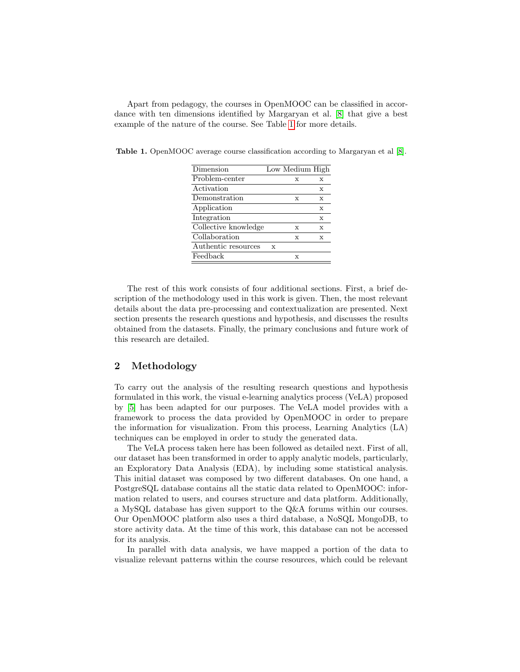Apart from pedagogy, the courses in OpenMOOC can be classified in accordance with ten dimensions identified by Margaryan et al. [\[8\]](#page-12-8) that give a best example of the nature of the course. See Table [1](#page-2-0) for more details.

|   | X           | X               |
|---|-------------|-----------------|
|   |             | $\mathbf x$     |
|   | X           | $\mathbf x$     |
|   |             | X               |
|   |             | $\mathbf x$     |
|   | $\mathbf x$ | X               |
|   | $\mathbf x$ | $\mathbf{x}$    |
| X |             |                 |
|   | $\mathbf x$ |                 |
|   |             | Low Medium High |

<span id="page-2-0"></span>Table 1. OpenMOOC average course classification according to Margaryan et al [\[8\]](#page-12-8).

The rest of this work consists of four additional sections. First, a brief description of the methodology used in this work is given. Then, the most relevant details about the data pre-processing and contextualization are presented. Next section presents the research questions and hypothesis, and discusses the results obtained from the datasets. Finally, the primary conclusions and future work of this research are detailed.

## 2 Methodology

To carry out the analysis of the resulting research questions and hypothesis formulated in this work, the visual e-learning analytics process (VeLA) proposed by [\[5\]](#page-12-9) has been adapted for our purposes. The VeLA model provides with a framework to process the data provided by OpenMOOC in order to prepare the information for visualization. From this process, Learning Analytics (LA) techniques can be employed in order to study the generated data.

The VeLA process taken here has been followed as detailed next. First of all, our dataset has been transformed in order to apply analytic models, particularly, an Exploratory Data Analysis (EDA), by including some statistical analysis. This initial dataset was composed by two different databases. On one hand, a PostgreSQL database contains all the static data related to OpenMOOC: information related to users, and courses structure and data platform. Additionally, a MySQL database has given support to the Q&A forums within our courses. Our OpenMOOC platform also uses a third database, a NoSQL MongoDB, to store activity data. At the time of this work, this database can not be accessed for its analysis.

In parallel with data analysis, we have mapped a portion of the data to visualize relevant patterns within the course resources, which could be relevant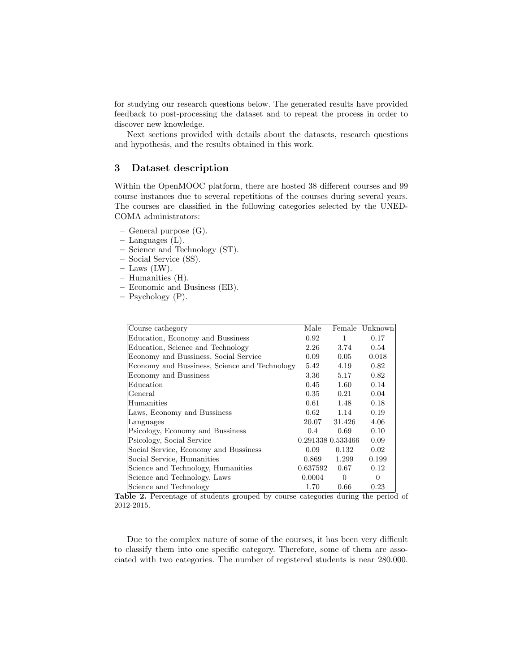for studying our research questions below. The generated results have provided feedback to post-processing the dataset and to repeat the process in order to discover new knowledge.

Next sections provided with details about the datasets, research questions and hypothesis, and the results obtained in this work.

## 3 Dataset description

Within the OpenMOOC platform, there are hosted 38 different courses and 99 course instances due to several repetitions of the courses during several years. The courses are classified in the following categories selected by the UNED-COMA administrators:

- General purpose (G).
- Languages (L).
- Science and Technology (ST).
- Social Service (SS).
- $-$  Laws (LW).
- Humanities (H).
- Economic and Business (EB).
- Psychology (P).

| Course cathegory                              | Male              | Female       | Unknown |
|-----------------------------------------------|-------------------|--------------|---------|
| Education, Economy and Bussiness              | 0.92              | $\mathbf{1}$ | 0.17    |
| Education, Science and Technology             | 2.26              | 3.74         | 0.54    |
| Economy and Bussiness, Social Service         | 0.09              | 0.05         | 0.018   |
| Economy and Bussiness, Science and Technology | 5.42              | 4.19         | 0.82    |
| Economy and Bussiness                         | 3.36              | 5.17         | 0.82    |
| Education                                     | 0.45              | 1.60         | 0.14    |
| General                                       | 0.35              | 0.21         | 0.04    |
| Humanities                                    | 0.61              | 1.48         | 0.18    |
| Laws, Economy and Bussiness                   | 0.62              | 1.14         | 0.19    |
| Languages                                     | 20.07             | 31.426       | 4.06    |
| Psicology, Economy and Bussiness              | $0.4^{\circ}$     | 0.69         | 0.10    |
| Psicology, Social Service                     | 0.291338 0.533466 |              | 0.09    |
| Social Service, Economy and Bussiness         | 0.09              | 0.132        | 0.02    |
| Social Service, Humanities                    | 0.869             | 1.299        | 0.199   |
| Science and Technology, Humanities            | 0.637592          | 0.67         | 0.12    |
| Science and Technology, Laws                  | 0.0004            | $\Omega$     | 0       |
| Science and Technology                        | 1.70              | 0.66         | 0.23    |

<span id="page-3-0"></span>Table 2. Percentage of students grouped by course categories during the period of 2012-2015.

Due to the complex nature of some of the courses, it has been very difficult to classify them into one specific category. Therefore, some of them are associated with two categories. The number of registered students is near 280.000.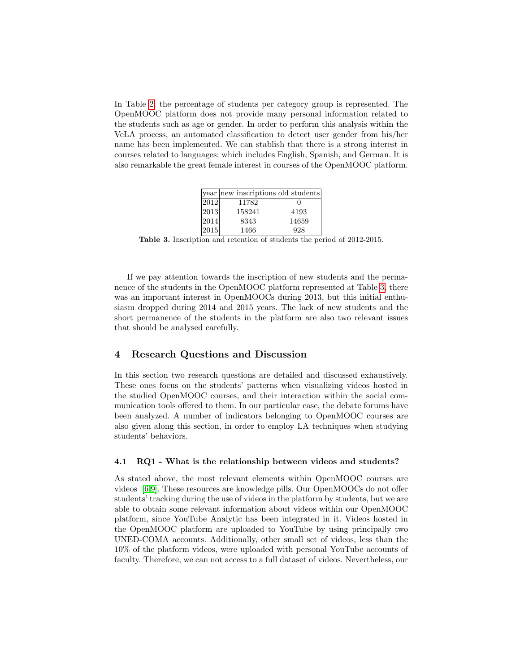In Table [2,](#page-3-0) the percentage of students per category group is represented. The OpenMOOC platform does not provide many personal information related to the students such as age or gender. In order to perform this analysis within the VeLA process, an automated classification to detect user gender from his/her name has been implemented. We can stablish that there is a strong interest in courses related to languages; which includes English, Spanish, and German. It is also remarkable the great female interest in courses of the OpenMOOC platform.

|      | year new inscriptions old students |          |
|------|------------------------------------|----------|
| 2012 | 11782                              | $\Omega$ |
| 2013 | 158241                             | 4193     |
| 2014 | 8343                               | 14659    |
| 2015 | 1466                               | 928      |

<span id="page-4-0"></span>Table 3. Inscription and retention of students the period of 2012-2015.

If we pay attention towards the inscription of new students and the permanence of the students in the OpenMOOC platform represented at Table [3,](#page-4-0) there was an important interest in OpenMOOCs during 2013, but this initial enthusiasm dropped during 2014 and 2015 years. The lack of new students and the short permanence of the students in the platform are also two relevant issues that should be analysed carefully.

## 4 Research Questions and Discussion

In this section two research questions are detailed and discussed exhaustively. These ones focus on the students' patterns when visualizing videos hosted in the studied OpenMOOC courses, and their interaction within the social communication tools offered to them. In our particular case, the debate forums have been analyzed. A number of indicators belonging to OpenMOOC courses are also given along this section, in order to employ LA techniques when studying students' behaviors.

#### 4.1 RQ1 - What is the relationship between videos and students?

As stated above, the most relevant elements within OpenMOOC courses are videos [\[6,](#page-12-10)[9\]](#page-12-11). These resources are knowledge pills. Our OpenMOOCs do not offer students' tracking during the use of videos in the platform by students, but we are able to obtain some relevant information about videos within our OpenMOOC platform, since YouTube Analytic has been integrated in it. Videos hosted in the OpenMOOC platform are uploaded to YouTube by using principally two UNED-COMA accounts. Additionally, other small set of videos, less than the 10% of the platform videos, were uploaded with personal YouTube accounts of faculty. Therefore, we can not access to a full dataset of videos. Nevertheless, our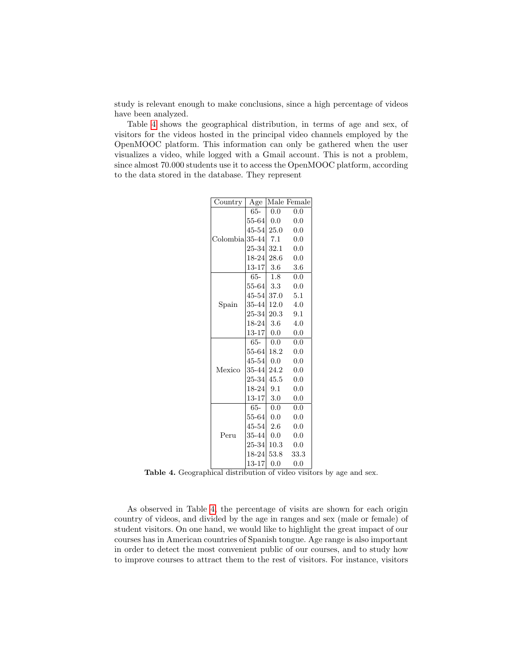study is relevant enough to make conclusions, since a high percentage of videos have been analyzed.

Table [4](#page-5-0) shows the geographical distribution, in terms of age and sex, of visitors for the videos hosted in the principal video channels employed by the OpenMOOC platform. This information can only be gathered when the user visualizes a video, while logged with a Gmail account. This is not a problem, since almost 70.000 students use it to access the OpenMOOC platform, according to the data stored in the database. They represent

| $\overline{\text{Country}}$ | Age       |         | Male Female |
|-----------------------------|-----------|---------|-------------|
| Colombial                   | 65-       | 0.0     | 0.0         |
|                             | $55 - 64$ | 0.0     | 0.0         |
|                             | $45 - 54$ | 25.0    | 0.0         |
|                             | $35 - 44$ | 7.1     | 0.0         |
|                             | 25-34     | 32.1    | 0.0         |
|                             | 18-24     | 28.6    | 0.0         |
|                             | 13-17     | 3.6     | 3.6         |
|                             | 65-       | 1.8     | 0.0         |
|                             | $55 - 64$ | 3.3     | 0.0         |
|                             | 45-54     | 37.0    | - 5.1       |
| Spain                       | $35 - 44$ | 12.0    | 4.0         |
|                             | $25 - 34$ | 20.3    | 9.1         |
|                             | $18-24$   | 3.6     | 4.0         |
|                             | 13-17     | 0.0     | 0.0         |
|                             | 65-       | $0.0\,$ | 0.0         |
|                             | $55 - 64$ | 18.2    | 0.0         |
|                             | 45-54     | 0.0     | 0.0         |
| Mexico                      | 35-44     | 24.2    | 0.0         |
|                             | $25 - 34$ | 45.5    | 0.0         |
|                             | 18-24     | 9.1     | 0.0         |
|                             | 13-17     | $3.0\,$ | 0.0         |
|                             | 65-       | 0.0     | 0.0         |
| Peru                        | $55 - 64$ | 0.0     | 0.0         |
|                             | $45 - 54$ | 2.6     | 0.0         |
|                             | 35-44     | $0.0\,$ | 0.0         |
|                             | $25 - 34$ | 10.3    | 0.0         |
|                             | 18-24     | 53.8    | 33.3        |
|                             | 13-17     | 0.0     | 0.0         |

<span id="page-5-0"></span>Table 4. Geographical distribution of video visitors by age and sex.

As observed in Table [4,](#page-5-0) the percentage of visits are shown for each origin country of videos, and divided by the age in ranges and sex (male or female) of student visitors. On one hand, we would like to highlight the great impact of our courses has in American countries of Spanish tongue. Age range is also important in order to detect the most convenient public of our courses, and to study how to improve courses to attract them to the rest of visitors. For instance, visitors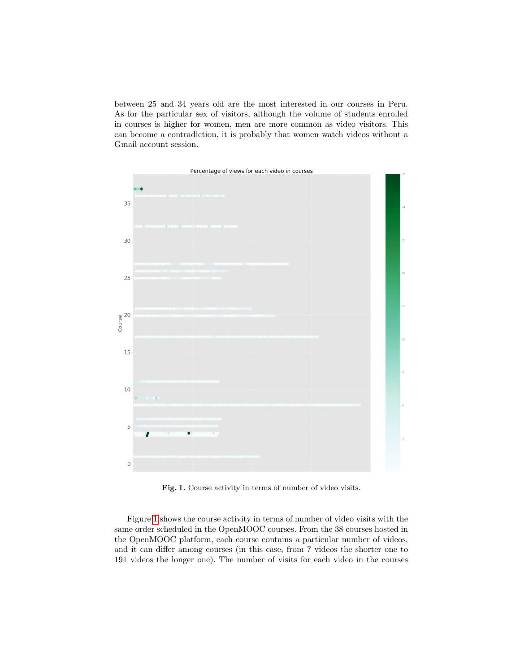between 25 and 34 years old are the most interested in our courses in Peru. As for the particular sex of visitors, although the volume of students enrolled in courses is higher for women, men are more common as video visitors. This can become a contradiction, it is probably that women watch videos without a Gmail account session.



<span id="page-6-0"></span>Fig. 1. Course activity in terms of number of video visits.

Figure [1](#page-6-0) shows the course activity in terms of number of video visits with the same order scheduled in the OpenMOOC courses. From the 38 courses hosted in the OpenMOOC platform, each course contains a particular number of videos, and it can differ among courses (in this case, from 7 videos the shorter one to 191 videos the longer one). The number of visits for each video in the courses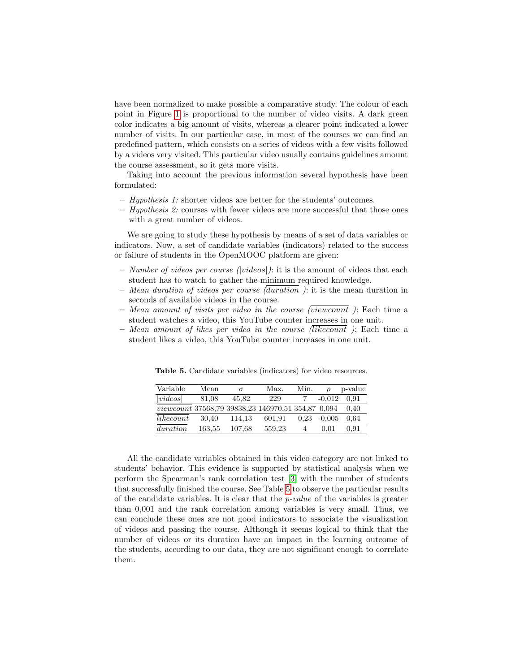have been normalized to make possible a comparative study. The colour of each point in Figure [1](#page-6-0) is proportional to the number of video visits. A dark green color indicates a big amount of visits, whereas a clearer point indicated a lower number of visits. In our particular case, in most of the courses we can find an predefined pattern, which consists on a series of videos with a few visits followed by a videos very visited. This particular video usually contains guidelines amount the course assessment, so it gets more visits.

Taking into account the previous information several hypothesis have been formulated:

- Hypothesis 1: shorter videos are better for the students' outcomes.
- Hypothesis 2: courses with fewer videos are more successful that those ones with a great number of videos.

We are going to study these hypothesis by means of a set of data variables or indicators. Now, a set of candidate variables (indicators) related to the success or failure of students in the OpenMOOC platform are given:

- Number of videos per course (|videos|): it is the amount of videos that each student has to watch to gather the minimum required knowledge.
- Mean duration of videos per course (duration ): it is the mean duration in seconds of available videos in the course.
- Mean amount of visits per video in the course (viewcount ): Each time a student watches a video, this YouTube counter increases in one unit.
- Mean amount of likes per video in the course (likecount ); Each time a student likes a video, this YouTube counter increases in one unit.

| Variable                                           | Mean   | $\sigma$ | Max.   | Min. |          | p-value |
|----------------------------------------------------|--------|----------|--------|------|----------|---------|
| video                                              | 81.08  | 45.82    | 229    |      | $-0.012$ | 0.91    |
| viewcount 37568,79 39838,23 146970,51 354,87 0,094 |        |          |        |      |          | 0.40    |
| likecount                                          | 30.40  | 114.13   | 601.91 | 0.23 | $-0.005$ | 0.64    |
| duration                                           | 163.55 | 107.68   | 559.23 |      | 0.01     | 0.91    |

<span id="page-7-0"></span>Table 5. Candidate variables (indicators) for video resources.

All the candidate variables obtained in this video category are not linked to students' behavior. This evidence is supported by statistical analysis when we perform the Spearman's rank correlation test [\[3\]](#page-12-12) with the number of students that successfully finished the course. See Table [5](#page-7-0) to observe the particular results of the candidate variables. It is clear that the  $p-value$  of the variables is greater than 0,001 and the rank correlation among variables is very small. Thus, we can conclude these ones are not good indicators to associate the visualization of videos and passing the course. Although it seems logical to think that the number of videos or its duration have an impact in the learning outcome of the students, according to our data, they are not significant enough to correlate them.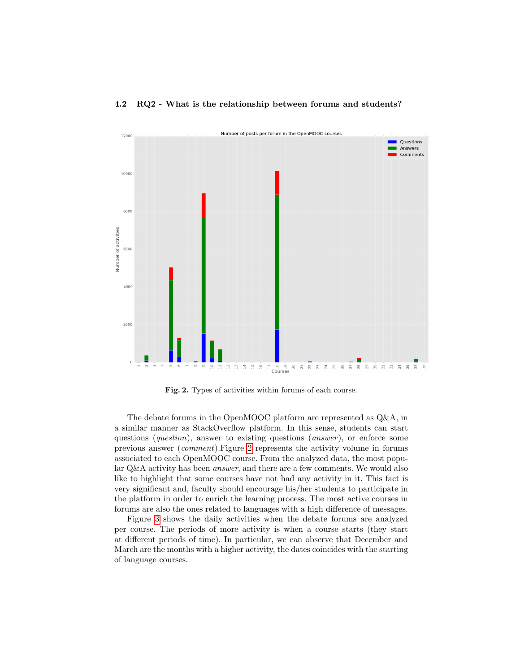#### 4.2 RQ2 - What is the relationship between forums and students?



<span id="page-8-0"></span>Fig. 2. Types of activities within forums of each course.

The debate forums in the OpenMOOC platform are represented as Q&A, in a similar manner as StackOverflow platform. In this sense, students can start questions (*question*), answer to existing questions (*answer*), or enforce some previous answer (comment).Figure [2](#page-8-0) represents the activity volume in forums associated to each OpenMOOC course. From the analyzed data, the most popular Q&A activity has been answer, and there are a few comments. We would also like to highlight that some courses have not had any activity in it. This fact is very significant and, faculty should encourage his/her students to participate in the platform in order to enrich the learning process. The most active courses in forums are also the ones related to languages with a high difference of messages.

Figure [3](#page-9-0) shows the daily activities when the debate forums are analyzed per course. The periods of more activity is when a course starts (they start at different periods of time). In particular, we can observe that December and March are the months with a higher activity, the dates coincides with the starting of language courses.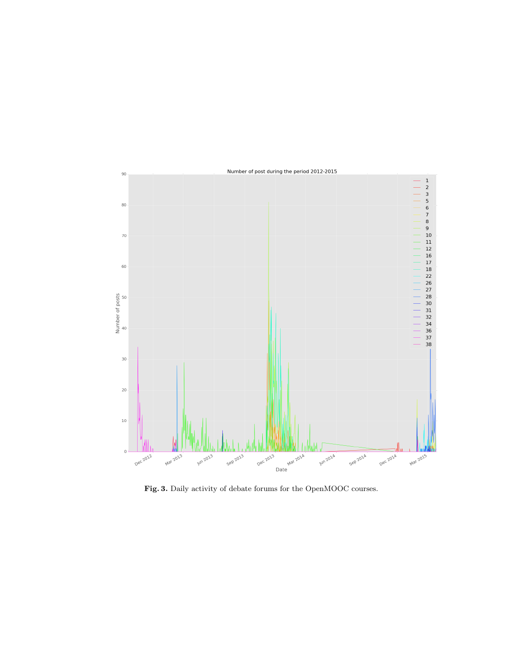

<span id="page-9-0"></span>Fig. 3. Daily activity of debate forums for the OpenMOOC courses.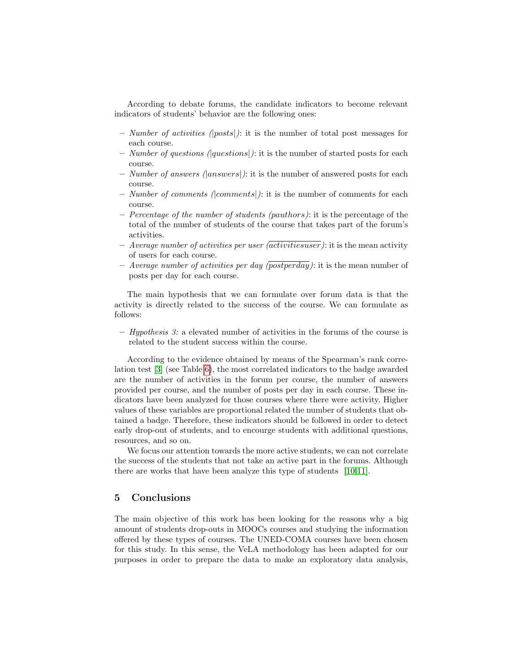According to debate forums, the candidate indicators to become relevant indicators of students' behavior are the following ones:

- Number of activities (|posts|): it is the number of total post messages for each course.
- Number of questions ( $|questions|$ ): it is the number of started posts for each course.
- Number of answers ( $|answers|$ ): it is the number of answered posts for each course.
- Number of comments (comments): it is the number of comments for each course.
- $-$  Percentage of the number of students (pauthors): it is the percentage of the total of the number of students of the course that takes part of the forum's activities.
- Average number of activities per user (activitiesuser): it is the mean activity of users for each course.
- Average number of activities per day (postperday): it is the mean number of posts per day for each course.

The main hypothesis that we can formulate over forum data is that the activity is directly related to the success of the course. We can formulate as follows:

– Hypothesis 3: a elevated number of activities in the forums of the course is related to the student success within the course.

According to the evidence obtained by means of the Spearman's rank correlation test [\[3\]](#page-12-12) (see Table [6\)](#page-11-0), the most correlated indicators to the badge awarded are the number of activities in the forum per course, the number of answers provided per course, and the number of posts per day in each course. These indicators have been analyzed for those courses where there were activity. Higher values of these variables are proportional related the number of students that obtained a badge. Therefore, these indicators should be followed in order to detect early drop-out of students, and to encourge students with additional questions, resources, and so on.

We focus our attention towards the more active students, we can not correlate the success of the students that not take an active part in the forums. Although there are works that have been analyze this type of students [\[10,](#page-12-1)[11\]](#page-12-2).

# 5 Conclusions

The main objective of this work has been looking for the reasons why a big amount of students drop-outs in MOOCs courses and studying the information offered by these types of courses. The UNED-COMA courses have been chosen for this study. In this sense, the VeLA methodology has been adapted for our purposes in order to prepare the data to make an exploratory data analysis,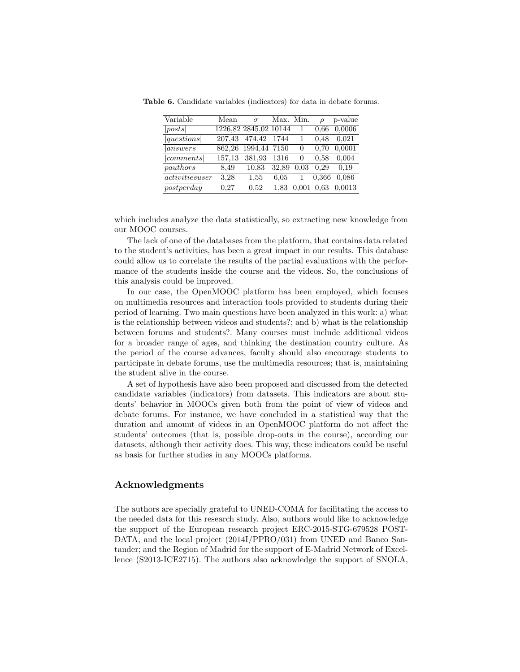<span id="page-11-0"></span>

| Variable        | Mean   | $\sigma$              | Max. Min. |          |       | p-value |
|-----------------|--------|-----------------------|-----------|----------|-------|---------|
| posts           |        | 1226,82 2845,02 10144 |           |          | 0.66  | 0,0006  |
| questions       | 207,43 | 474,42                | 1744      |          | 0.48  | 0,021   |
| answers         | 862,26 | 1994,44 7150          |           | $\theta$ | 0.70  | 0.0001  |
| comments        | 157,13 | 381,93                | 1316      | $\theta$ | 0.58  | 0.004   |
| pauthors        | 8.49   | 10,83                 | 32,89     | 0.03     | 0.29  | 0.19    |
| activities user | 3.28   | 1,55                  | 6.05      |          | 0,366 | 0.086   |
| postperday      | 0.27   | 0.52                  | 1,83      | 0.001    | 0.63  | 0,0013  |

Table 6. Candidate variables (indicators) for data in debate forums.

which includes analyze the data statistically, so extracting new knowledge from our MOOC courses.

The lack of one of the databases from the platform, that contains data related to the student's activities, has been a great impact in our results. This database could allow us to correlate the results of the partial evaluations with the performance of the students inside the course and the videos. So, the conclusions of this analysis could be improved.

In our case, the OpenMOOC platform has been employed, which focuses on multimedia resources and interaction tools provided to students during their period of learning. Two main questions have been analyzed in this work: a) what is the relationship between videos and students?; and b) what is the relationship between forums and students?. Many courses must include additional videos for a broader range of ages, and thinking the destination country culture. As the period of the course advances, faculty should also encourage students to participate in debate forums, use the multimedia resources; that is, maintaining the student alive in the course.

A set of hypothesis have also been proposed and discussed from the detected candidate variables (indicators) from datasets. This indicators are about students' behavior in MOOCs given both from the point of view of videos and debate forums. For instance, we have concluded in a statistical way that the duration and amount of videos in an OpenMOOC platform do not affect the students' outcomes (that is, possible drop-outs in the course), according our datasets, although their activity does. This way, these indicators could be useful as basis for further studies in any MOOCs platforms.

## Acknowledgments

The authors are specially grateful to UNED-COMA for facilitating the access to the needed data for this research study. Also, authors would like to acknowledge the support of the European research project ERC-2015-STG-679528 POST-DATA, and the local project (2014I/PPRO/031) from UNED and Banco Santander; and the Region of Madrid for the support of E-Madrid Network of Excellence (S2013-ICE2715). The authors also acknowledge the support of SNOLA,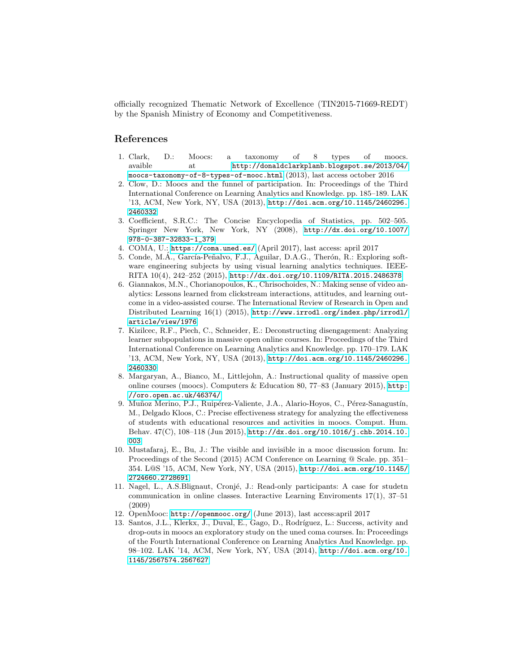officially recognized Thematic Network of Excellence (TIN2015-71669-REDT) by the Spanish Ministry of Economy and Competitiveness.

# References

- <span id="page-12-7"></span>1. Clark, D.: Moocs: a taxonomy of 8 types of moocs. avaible at [http://donaldclarkplanb.blogspot.se/2013/04/](http://donaldclarkplanb.blogspot.se/2013/04/moocs-taxonomy-of-8-types-of-mooc.html) [moocs-taxonomy-of-8-types-of-mooc.html](http://donaldclarkplanb.blogspot.se/2013/04/moocs-taxonomy-of-8-types-of-mooc.html) (2013), last access october 2016
- <span id="page-12-0"></span>2. Clow, D.: Moocs and the funnel of participation. In: Proceedings of the Third International Conference on Learning Analytics and Knowledge. pp. 185–189. LAK '13, ACM, New York, NY, USA (2013), [http://doi.acm.org/10.1145/2460296.](http://doi.acm.org/10.1145/2460296.2460332) [2460332](http://doi.acm.org/10.1145/2460296.2460332)
- <span id="page-12-12"></span>3. Coefficient, S.R.C.: The Concise Encyclopedia of Statistics, pp. 502–505. Springer New York, New York, NY (2008), [http://dx.doi.org/10.1007/](http://dx.doi.org/10.1007/978-0-387-32833-1_379) [978-0-387-32833-1\\_379](http://dx.doi.org/10.1007/978-0-387-32833-1_379)
- <span id="page-12-4"></span>4. COMA, U.: <https://coma.uned.es/> (April 2017), last access: april 2017
- <span id="page-12-9"></span>5. Conde, M.A., García-Peñalvo, F.J., Aguilar, D.A.G., Therón, R.: Exploring software engineering subjects by using visual learning analytics techniques. IEEE-RITA 10(4), 242–252 (2015), <http://dx.doi.org/10.1109/RITA.2015.2486378>
- <span id="page-12-10"></span>6. Giannakos, M.N., Chorianopoulos, K., Chrisochoides, N.: Making sense of video analytics: Lessons learned from clickstream interactions, attitudes, and learning outcome in a video-assisted course. The International Review of Research in Open and Distributed Learning 16(1) (2015), [http://www.irrodl.org/index.php/irrodl/](http://www.irrodl.org/index.php/irrodl/article/view/1976) [article/view/1976](http://www.irrodl.org/index.php/irrodl/article/view/1976)
- <span id="page-12-3"></span>7. Kizilcec, R.F., Piech, C., Schneider, E.: Deconstructing disengagement: Analyzing learner subpopulations in massive open online courses. In: Proceedings of the Third International Conference on Learning Analytics and Knowledge. pp. 170–179. LAK '13, ACM, New York, NY, USA (2013), [http://doi.acm.org/10.1145/2460296.](http://doi.acm.org/10.1145/2460296.2460330) [2460330](http://doi.acm.org/10.1145/2460296.2460330)
- <span id="page-12-8"></span>8. Margaryan, A., Bianco, M., Littlejohn, A.: Instructional quality of massive open online courses (moocs). Computers & Education 80, 77–83 (January 2015), [http:](http://oro.open.ac.uk/46374/) [//oro.open.ac.uk/46374/](http://oro.open.ac.uk/46374/)
- <span id="page-12-11"></span>9. Muñoz Merino, P.J., Ruipérez-Valiente, J.A., Alario-Hoyos, C., Pérez-Sanagustín, M., Delgado Kloos, C.: Precise effectiveness strategy for analyzing the effectiveness of students with educational resources and activities in moocs. Comput. Hum. Behav. 47(C), 108–118 (Jun 2015), [http://dx.doi.org/10.1016/j.chb.2014.10.](http://dx.doi.org/10.1016/j.chb.2014.10.003) [003](http://dx.doi.org/10.1016/j.chb.2014.10.003)
- <span id="page-12-1"></span>10. Mustafaraj, E., Bu, J.: The visible and invisible in a mooc discussion forum. In: Proceedings of the Second (2015) ACM Conference on Learning @ Scale. pp. 351– 354. L@S '15, ACM, New York, NY, USA (2015), [http://doi.acm.org/10.1145/](http://doi.acm.org/10.1145/2724660.2728691) [2724660.2728691](http://doi.acm.org/10.1145/2724660.2728691)
- <span id="page-12-2"></span>11. Nagel, L., A.S.Blignaut, Cronjé, J.: Read-only participants: A case for studetn communication in online classes. Interactive Learning Enviroments 17(1), 37–51 (2009)
- <span id="page-12-5"></span>12. OpenMooc: <http://openmooc.org/> (June 2013), last access:april 2017
- <span id="page-12-6"></span>13. Santos, J.L., Klerkx, J., Duval, E., Gago, D., Rodríguez, L.: Success, activity and drop-outs in moocs an exploratory study on the uned coma courses. In: Proceedings of the Fourth International Conference on Learning Analytics And Knowledge. pp. 98–102. LAK '14, ACM, New York, NY, USA (2014), [http://doi.acm.org/10.](http://doi.acm.org/10.1145/2567574.2567627) [1145/2567574.2567627](http://doi.acm.org/10.1145/2567574.2567627)